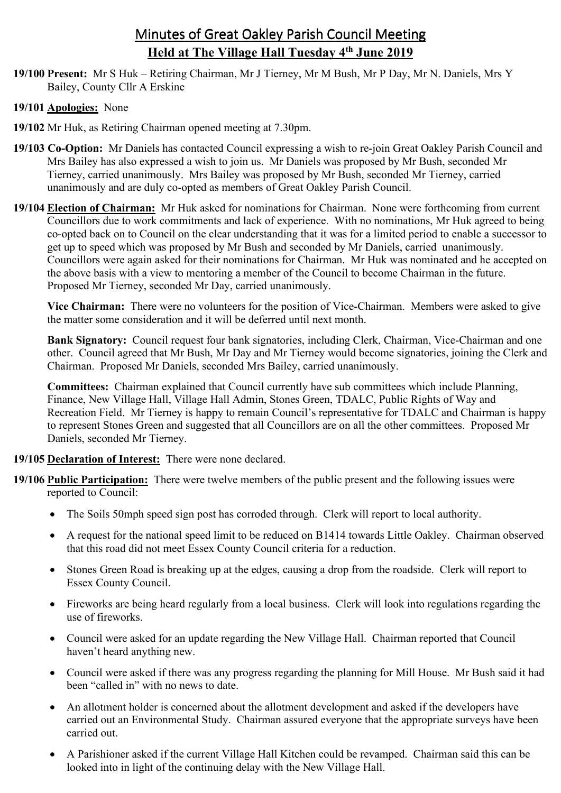# Minutes of Great Oakley Parish Council Meeting **Held at The Village Hall Tuesday 4th June 2019**

**19/100 Present:** Mr S Huk – Retiring Chairman, Mr J Tierney, Mr M Bush, Mr P Day, Mr N. Daniels, Mrs Y Bailey, County Cllr A Erskine

## **19/101 Apologies:** None

- **19/102** Mr Huk, as Retiring Chairman opened meeting at 7.30pm.
- **19/103 Co-Option:** Mr Daniels has contacted Council expressing a wish to re-join Great Oakley Parish Council and Mrs Bailey has also expressed a wish to join us. Mr Daniels was proposed by Mr Bush, seconded Mr Tierney, carried unanimously. Mrs Bailey was proposed by Mr Bush, seconded Mr Tierney, carried unanimously and are duly co-opted as members of Great Oakley Parish Council.
- **19/104 Election of Chairman:** Mr Huk asked for nominations for Chairman. None were forthcoming from current Councillors due to work commitments and lack of experience. With no nominations, Mr Huk agreed to being co-opted back on to Council on the clear understanding that it was for a limited period to enable a successor to get up to speed which was proposed by Mr Bush and seconded by Mr Daniels, carried unanimously. Councillors were again asked for their nominations for Chairman. Mr Huk was nominated and he accepted on the above basis with a view to mentoring a member of the Council to become Chairman in the future. Proposed Mr Tierney, seconded Mr Day, carried unanimously.

 **Vice Chairman:** There were no volunteers for the position of Vice-Chairman. Members were asked to give the matter some consideration and it will be deferred until next month.

 **Bank Signatory:** Council request four bank signatories, including Clerk, Chairman, Vice-Chairman and one other. Council agreed that Mr Bush, Mr Day and Mr Tierney would become signatories, joining the Clerk and Chairman. Proposed Mr Daniels, seconded Mrs Bailey, carried unanimously.

**Committees:** Chairman explained that Council currently have sub committees which include Planning, Finance, New Village Hall, Village Hall Admin, Stones Green, TDALC, Public Rights of Way and Recreation Field. Mr Tierney is happy to remain Council's representative for TDALC and Chairman is happy to represent Stones Green and suggested that all Councillors are on all the other committees. Proposed Mr Daniels, seconded Mr Tierney.

## **19/105 Declaration of Interest:** There were none declared.

- **19/106 Public Participation:** There were twelve members of the public present and the following issues were reported to Council:
	- The Soils 50mph speed sign post has corroded through. Clerk will report to local authority.
	- A request for the national speed limit to be reduced on B1414 towards Little Oakley. Chairman observed that this road did not meet Essex County Council criteria for a reduction.
	- Stones Green Road is breaking up at the edges, causing a drop from the roadside. Clerk will report to Essex County Council.
	- Fireworks are being heard regularly from a local business. Clerk will look into regulations regarding the use of fireworks.
	- Council were asked for an update regarding the New Village Hall. Chairman reported that Council haven't heard anything new.
	- Council were asked if there was any progress regarding the planning for Mill House. Mr Bush said it had been "called in" with no news to date.
	- An allotment holder is concerned about the allotment development and asked if the developers have carried out an Environmental Study. Chairman assured everyone that the appropriate surveys have been carried out.
	- A Parishioner asked if the current Village Hall Kitchen could be revamped. Chairman said this can be looked into in light of the continuing delay with the New Village Hall.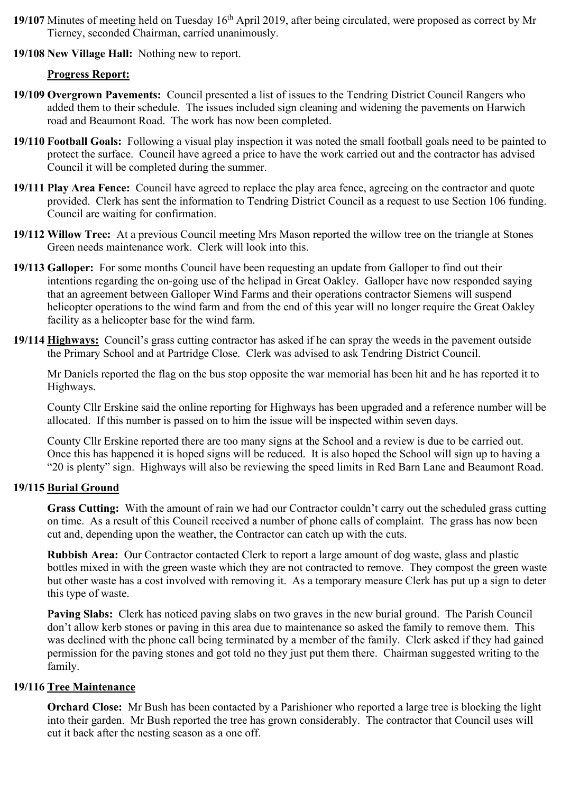- **19/107** Minutes of meeting held on Tuesday 16<sup>th</sup> April 2019, after being circulated, were proposed as correct by Mr Tierney, seconded Chairman, carried unanimously.
- **19/108 New Village Hall:** Nothing new to report.

### **Progress Report:**

- **19/109 Overgrown Pavements:** Council presented a list of issues to the Tendring District Council Rangers who added them to their schedule. The issues included sign cleaning and widening the pavements on Harwich road and Beaumont Road. The work has now been completed.
- **19/110 Football Goals:** Following a visual play inspection it was noted the small football goals need to be painted to protect the surface. Council have agreed a price to have the work carried out and the contractor has advised Council it will be completed during the summer.
- **19/111 Play Area Fence:** Council have agreed to replace the play area fence, agreeing on the contractor and quote provided. Clerk has sent the information to Tendring District Council as a request to use Section 106 funding. Council are waiting for confirmation.
- **19/112 Willow Tree:** At a previous Council meeting Mrs Mason reported the willow tree on the triangle at Stones Green needs maintenance work. Clerk will look into this.
- **19/113 Galloper:** For some months Council have been requesting an update from Galloper to find out their intentions regarding the on-going use of the helipad in Great Oakley. Galloper have now responded saying that an agreement between Galloper Wind Farms and their operations contractor Siemens will suspend helicopter operations to the wind farm and from the end of this year will no longer require the Great Oakley facility as a helicopter base for the wind farm.
- **19/114 Highways:** Council's grass cutting contractor has asked if he can spray the weeds in the pavement outside the Primary School and at Partridge Close. Clerk was advised to ask Tendring District Council.

Mr Daniels reported the flag on the bus stop opposite the war memorial has been hit and he has reported it to Highways.

 County Cllr Erskine said the online reporting for Highways has been upgraded and a reference number will be allocated. If this number is passed on to him the issue will be inspected within seven days.

 County Cllr Erskine reported there are too many signs at the School and a review is due to be carried out. Once this has happened it is hoped signs will be reduced. It is also hoped the School will sign up to having a "20 is plenty" sign. Highways will also be reviewing the speed limits in Red Barn Lane and Beaumont Road.

#### **19/115 Burial Ground**

**Grass Cutting:** With the amount of rain we had our Contractor couldn't carry out the scheduled grass cutting on time. As a result of this Council received a number of phone calls of complaint. The grass has now been cut and, depending upon the weather, the Contractor can catch up with the cuts.

**Rubbish Area:** Our Contractor contacted Clerk to report a large amount of dog waste, glass and plastic bottles mixed in with the green waste which they are not contracted to remove. They compost the green waste but other waste has a cost involved with removing it. As a temporary measure Clerk has put up a sign to deter this type of waste.

**Paving Slabs:** Clerk has noticed paving slabs on two graves in the new burial ground. The Parish Council don't allow kerb stones or paving in this area due to maintenance so asked the family to remove them. This was declined with the phone call being terminated by a member of the family. Clerk asked if they had gained permission for the paving stones and got told no they just put them there. Chairman suggested writing to the family.

#### **19/116 Tree Maintenance**

**Orchard Close:** Mr Bush has been contacted by a Parishioner who reported a large tree is blocking the light into their garden. Mr Bush reported the tree has grown considerably. The contractor that Council uses will cut it back after the nesting season as a one off.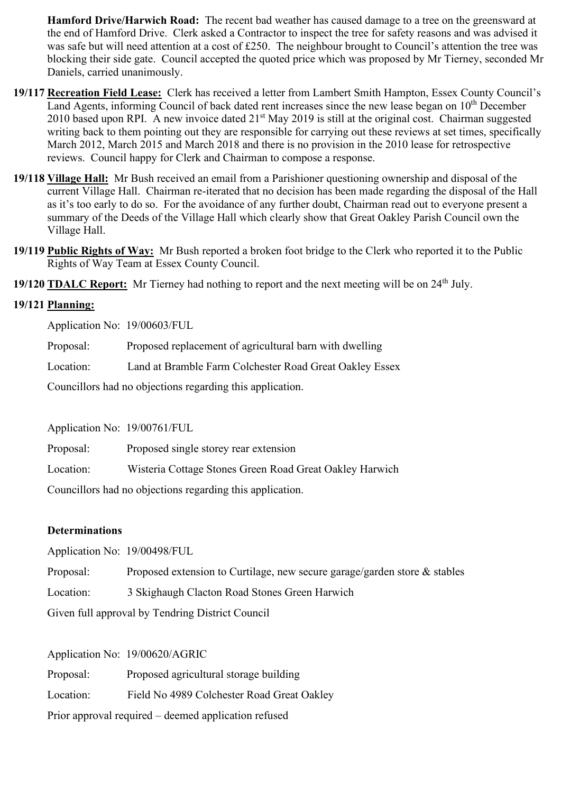**Hamford Drive/Harwich Road:** The recent bad weather has caused damage to a tree on the greensward at the end of Hamford Drive. Clerk asked a Contractor to inspect the tree for safety reasons and was advised it was safe but will need attention at a cost of £250. The neighbour brought to Council's attention the tree was blocking their side gate. Council accepted the quoted price which was proposed by Mr Tierney, seconded Mr Daniels, carried unanimously.

- **19/117 Recreation Field Lease:** Clerk has received a letter from Lambert Smith Hampton, Essex County Council's Land Agents, informing Council of back dated rent increases since the new lease began on 10<sup>th</sup> December 2010 based upon RPI. A new invoice dated 21<sup>st</sup> May 2019 is still at the original cost. Chairman suggested writing back to them pointing out they are responsible for carrying out these reviews at set times, specifically March 2012, March 2015 and March 2018 and there is no provision in the 2010 lease for retrospective reviews. Council happy for Clerk and Chairman to compose a response.
- **19/118 Village Hall:** Mr Bush received an email from a Parishioner questioning ownership and disposal of the current Village Hall. Chairman re-iterated that no decision has been made regarding the disposal of the Hall as it's too early to do so. For the avoidance of any further doubt, Chairman read out to everyone present a summary of the Deeds of the Village Hall which clearly show that Great Oakley Parish Council own the Village Hall.
- **19/119 Public Rights of Way:** Mr Bush reported a broken foot bridge to the Clerk who reported it to the Public Rights of Way Team at Essex County Council.

**19/120 TDALC Report:** Mr Tierney had nothing to report and the next meeting will be on 24<sup>th</sup> July.

#### **19/121 Planning:**

Application No: 19/00603/FUL

Proposal: Proposed replacement of agricultural barn with dwelling

Location: Land at Bramble Farm Colchester Road Great Oakley Essex

Councillors had no objections regarding this application.

Application No: 19/00761/FUL

Proposal: Proposed single storey rear extension Location: Wisteria Cottage Stones Green Road Great Oakley Harwich Councillors had no objections regarding this application.

#### **Determinations**

Application No:19/00498/FUL

Proposal: Proposed extension to Curtilage, new secure garage/garden store & stables

Location: 3 Skighaugh Clacton Road Stones Green Harwich

Given full approval by Tendring District Council

Application No: 19/00620/AGRIC

Proposal: Proposed agricultural storage building

Location: Field No 4989 Colchester Road Great Oakley

Prior approval required – deemed application refused